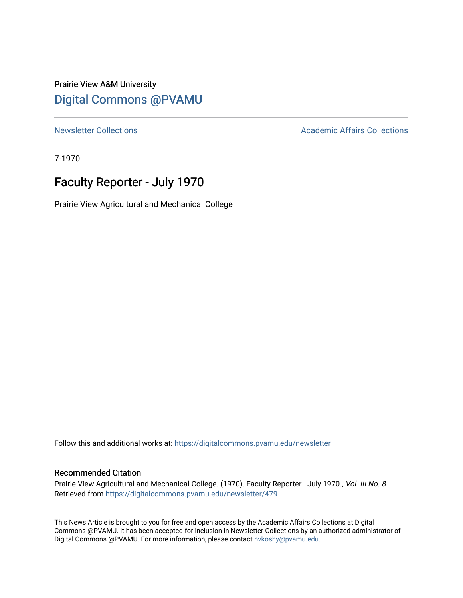### Prairie View A&M University [Digital Commons @PVAMU](https://digitalcommons.pvamu.edu/)

[Newsletter Collections](https://digitalcommons.pvamu.edu/newsletter) **Academic Affairs Collections Academic Affairs Collections** 

7-1970

## Faculty Reporter - July 1970

Prairie View Agricultural and Mechanical College

Follow this and additional works at: [https://digitalcommons.pvamu.edu/newsletter](https://digitalcommons.pvamu.edu/newsletter?utm_source=digitalcommons.pvamu.edu%2Fnewsletter%2F479&utm_medium=PDF&utm_campaign=PDFCoverPages) 

#### Recommended Citation

Prairie View Agricultural and Mechanical College. (1970). Faculty Reporter - July 1970., Vol. III No. 8 Retrieved from [https://digitalcommons.pvamu.edu/newsletter/479](https://digitalcommons.pvamu.edu/newsletter/479?utm_source=digitalcommons.pvamu.edu%2Fnewsletter%2F479&utm_medium=PDF&utm_campaign=PDFCoverPages)

This News Article is brought to you for free and open access by the Academic Affairs Collections at Digital Commons @PVAMU. It has been accepted for inclusion in Newsletter Collections by an authorized administrator of Digital Commons @PVAMU. For more information, please contact [hvkoshy@pvamu.edu.](mailto:hvkoshy@pvamu.edu)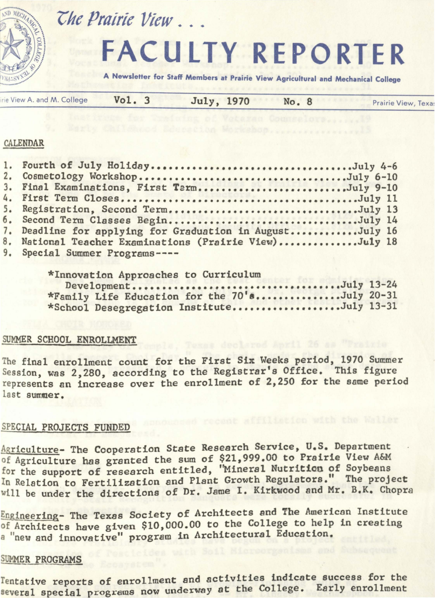

# $\mathcal{I}$ he Prairie View ...

# **FACULTY REPORTER**

**A Newsletter for Staff Members at Prairie View Agricultural and Mechanical College** 

| rie View A. and M. College | Vol. 3 | July, 1970 | No. 8 | Prairie View, Texa: |
|----------------------------|--------|------------|-------|---------------------|
|----------------------------|--------|------------|-------|---------------------|

#### CALENDAR

| 1. Fourth of July HolidayJuly 4-6                        |
|----------------------------------------------------------|
| 2. Cosmetology WorkshopJuly 6-10                         |
| 3. Final Examinations, First TermJuly 9-10               |
|                                                          |
| 5. Registration, Second TermJuly 13                      |
| 6. Second Term Classes BeginJuly 14                      |
| 7. Deadline for applying for Graduation in AugustJuly 16 |
| 8. National Teacher Examinations (Prairie View)July 18   |
| 9. Special Summer Programs----                           |

| *Innovation Approaches to Curriculum          |  |
|-----------------------------------------------|--|
| DevelopmentJuly 13-24                         |  |
| *Family Life Education for the 70'sJuly 20-31 |  |
| *School Desegregation InstituteJuly 13-31     |  |

#### SUMMER SCHOOL ENROLLMENT

The final enrollment count for the First Six Weeks period, 1970 Summer Session, was 2,280, according to the Registrar's Office. This figure represents an increase over the enrollment of 2,250 for the same period last summer.

#### SPECIAL PROJECTS FUNDED

Agriculture- The Cooperation State Research Service, U.S. Department of Agriculture has granted the sum of \$21,999.00 to Prairie View A&M for the support of research entitled, "Mineral Nutrition of Soybeans In Relation to Fertilization and Plant Growth Regulators." The project will be under the directions of Dr. Jame I. Kirkwood and Mr. B.K. Chopra

Engineering- The Texas Society of Architects and The American Institute of Architects have given \$10,000.00 to the College to help in creating a "new and innovative" program in Architectural Education.

#### SUMMER PROGRAMS

Tentative reports of enrollment and sctivities indicate success for the several special programs now underway at the College. Early enrollment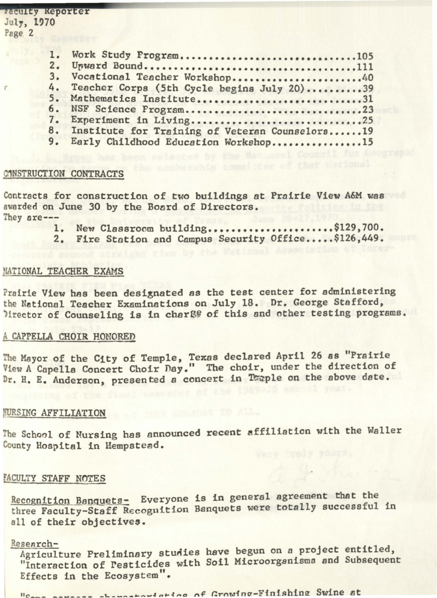raculty Reporter<br>July, 1970<br>Page 2 1. **2.**  3. 4. 5. 6. 7. 8. 9. Work Study Program................................105 U~ward Bound·•••···••··••••••·••·•••••••·••·••·••lll Vocational Teacher Workshop........................40 Teacher Corps (5th Cycle begins July 20) •••••••••• 39 Mathematics Institute..............................31 NSF Science Program...............................23 Experiment in Living.................................25 Institute for Training of Veteran Counselors......19 Early Childhood Education Workshop................15

#### CONSTRUCTION CONTRACTS

r

Contracts for construction of two buildings at Prairie View A&M was awarded on June 30 by the Board of Directors. They sre---

- **1.**  New Classroom building.....................\$129,700.
- 2. Fire Station and Campus Security Office..... \$126,449.

#### NATIONAL TEACHER EXAMS

Prairie View has been designated as the test center for administering the National Teacher Examinations on July 18. Dr. George Stafford, Mirector of Counseling is in charge of this and other testing programs.

#### A CAPPELLA CHOIR HONORED

e Mayor of the City of Temple, Texas declared April 26 as "Prairie View A Capella Concert Choir nay." The choir, under the direction of Dr. H. E. Anderson, presented a concert in Taple on the above date.

#### **RURSING AFFILIATION**

The School of Nursing has announced recent affiliation with the Waller County Hospital in Hempstead.

#### [ACULTY STAFF NOTES

Recognition Banquets- Everyone is in general agreement that the three Faculty-Staff Recognition Banquets were totally successful in all of their objectives.

#### Research-

Agriculture Preliminary studies have begun on a project entitled, "Interaction of Pesticides with Soil Microorganisms and Subsequent Effects in the Ecosystem".

Lating of Crowing-Finishing Swine at